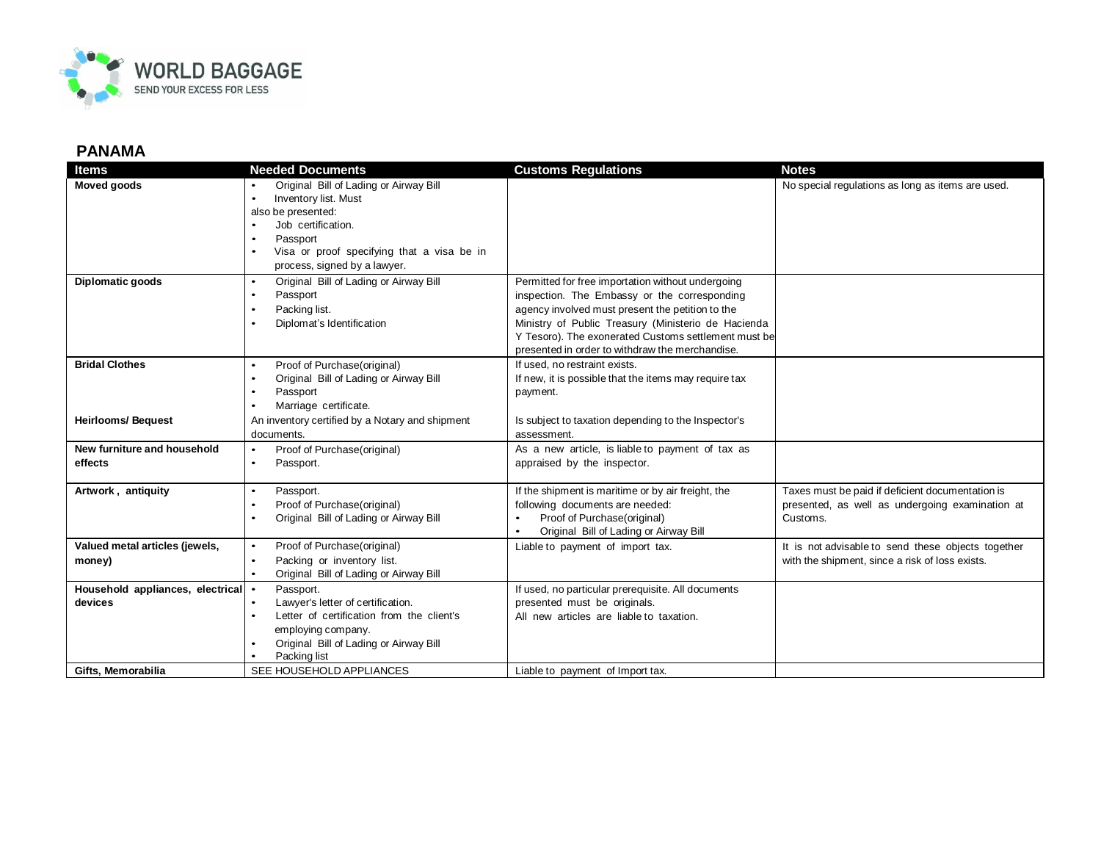

## **PANAMA**

| <b>Items</b>                                  | <b>Needed Documents</b>                                                                                                                                                                                           | <b>Customs Regulations</b>                                                                                                                                                                                                                                                                                              | <b>Notes</b>                                                                                                    |
|-----------------------------------------------|-------------------------------------------------------------------------------------------------------------------------------------------------------------------------------------------------------------------|-------------------------------------------------------------------------------------------------------------------------------------------------------------------------------------------------------------------------------------------------------------------------------------------------------------------------|-----------------------------------------------------------------------------------------------------------------|
| Moved goods                                   | Original Bill of Lading or Airway Bill<br>Inventory list. Must<br>$\bullet$<br>also be presented:<br>Job certification.<br>Passport<br>Visa or proof specifying that a visa be in<br>process, signed by a lawyer. |                                                                                                                                                                                                                                                                                                                         | No special regulations as long as items are used.                                                               |
| <b>Diplomatic goods</b>                       | Original Bill of Lading or Airway Bill<br>$\bullet$<br>Passport<br>Packing list.<br>$\bullet$<br>Diplomat's Identification                                                                                        | Permitted for free importation without undergoing<br>inspection. The Embassy or the corresponding<br>agency involved must present the petition to the<br>Ministry of Public Treasury (Ministerio de Hacienda<br>Y Tesoro). The exonerated Customs settlement must be<br>presented in order to withdraw the merchandise. |                                                                                                                 |
| <b>Bridal Clothes</b>                         | Proof of Purchase(original)<br>$\bullet$<br>Original Bill of Lading or Airway Bill<br>$\bullet$<br>Passport<br>Marriage certificate.                                                                              | If used, no restraint exists.<br>If new, it is possible that the items may require tax<br>payment.                                                                                                                                                                                                                      |                                                                                                                 |
| <b>Heirlooms/Bequest</b>                      | An inventory certified by a Notary and shipment<br>documents.                                                                                                                                                     | Is subject to taxation depending to the Inspector's<br>assessment.                                                                                                                                                                                                                                                      |                                                                                                                 |
| New furniture and household<br>effects        | Proof of Purchase(original)<br>$\bullet$<br>Passport.<br>$\bullet$                                                                                                                                                | As a new article, is liable to payment of tax as<br>appraised by the inspector.                                                                                                                                                                                                                                         |                                                                                                                 |
| Artwork, antiquity                            | Passport.<br>Proof of Purchase(original)<br>Original Bill of Lading or Airway Bill                                                                                                                                | If the shipment is maritime or by air freight, the<br>following documents are needed:<br>Proof of Purchase(original)<br>Original Bill of Lading or Airway Bill                                                                                                                                                          | Taxes must be paid if deficient documentation is<br>presented, as well as undergoing examination at<br>Customs. |
| Valued metal articles (jewels,<br>money)      | Proof of Purchase(original)<br>$\bullet$<br>Packing or inventory list.<br>$\bullet$<br>Original Bill of Lading or Airway Bill<br>$\bullet$                                                                        | Liable to payment of import tax.                                                                                                                                                                                                                                                                                        | It is not advisable to send these objects together<br>with the shipment, since a risk of loss exists.           |
| Household appliances, electrical .<br>devices | Passport.<br>Lawyer's letter of certification.<br>$\bullet$<br>Letter of certification from the client's<br>$\bullet$<br>employing company.<br>Original Bill of Lading or Airway Bill<br>Packing list             | If used, no particular prerequisite. All documents<br>presented must be originals.<br>All new articles are liable to taxation.                                                                                                                                                                                          |                                                                                                                 |
| Gifts. Memorabilia                            | SEE HOUSEHOLD APPLIANCES                                                                                                                                                                                          | Liable to payment of Import tax.                                                                                                                                                                                                                                                                                        |                                                                                                                 |